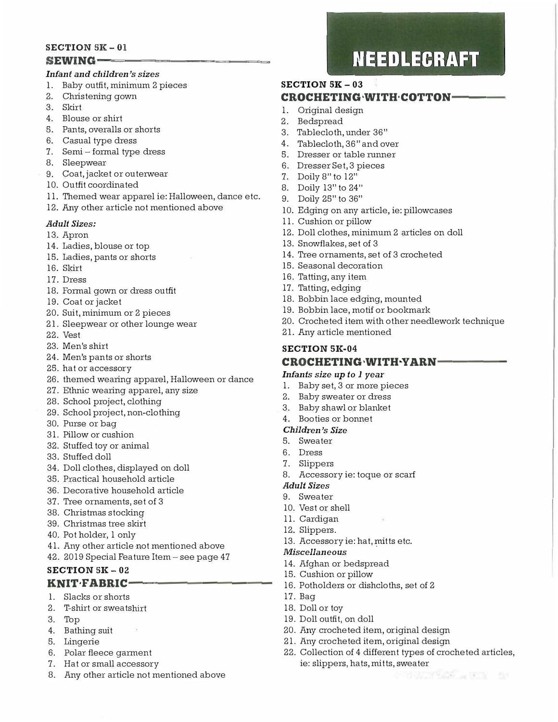#### **SECTION SK - 01**  SEWING-

#### Infant and children's sizes

- 1. Baby outfit, minimum 2 pieces
- 2. Christening gown
- 3. Skirt
- 4. Blouse or shirt
- 5. Pants, overalls or shorts
- 6. Casual type dress
- 7. Semi formal type dress
- 8. Sleepwear
- 9. Coat, jacket or outerwear
- 10. Outfit coordinated
- 11. Themed wear apparel ie: Halloween, dance etc.
- 12. Any other article not mentioned above

#### *Adult Sizes:*

13. Apron

- 14. Ladies, blouse or top
- 15. Ladies, pants or shorts
- 16. Skirt
- 17. Dress
- 18. Formal gown or dress outfit
- 19. Coat or jacket
- 20. Suit, minimum or 2 pieces
- 21. Sleepwear or other lounge wear
- 22. Vest
- 23. Men's shirt
- 24. Men's pants or shorts
- 25. hat or accessor y
- 26. themed wearing apparel, Halloween or dance
- 27. Ethnic wearing apparel, any size
- 28. School project, clothing
- 29. School project, non-clothing
- 30. Purse or bag
- 31. Pillow or cushion
- 32. Stuffed toy or animal
- 33. Stuffed doll
- 34. Doll clothes, displayed on doll
- 35. Practical household article
- 36. Decorative household article
- 37. Tree ornaments, set of 3
- 38. Christmas stocking
- 39. Christmas tree skirt
- 40. Pot holder, 1 only
- 41. Any other article not mentioned above
- 42. 2019 Special Feature Item- see page 47

#### **SECTION SK - 02 KNIT FABRIC--**

- 1. Slacks or shorts
- 2. T-shirt or sweatshirt
- 3. Top
- 4. Bathing suit
- 5. Lingerie
- 6. Polar fleece garment
- 7. Hat or small accessory
- 8. Any other article not mentioned above

## **NEEDLECRAFT**

### **SECTION 51{ - 03 CROCHETING WITH COTTON-**

- 1. Original design
- 2. Bedspread
- 3. Tablecloth, under 36"
- 4. Tablecloth, 36" and over
- 5. Dresser or table runner
- 6. Dresser Set, 3 pieces
- 7. Doily 8"to l2"
- 8. Doily 13" to 24"
- 9. Doily 25" to 36"
- 10. Edging on any article, ie: pillowcases
- 11. Cushion or pillow
- 12. Doll clothes, minimum 2 articles on doll
- 13. Snowflakes, set of 3
- 14. Tree ornaments, set of 3 crocheted
- 15. Seasonal decoration
- 16. Tatting, any item
- 17. Tatting, edging
- 18. Bobbin lace edging, mounted
- 19. Bobbin lace, motif or bookmark
- 20. Crocheted item with other needlework technique
- 21. Any article mentioned

## **SECTION 5K-04**

#### **CROCHETING WITH YARN-**

#### *Infants size up to 1 year*

- 1. Baby set, 3 or more pieces
- 2. Baby sweater or dress
- 3. Baby shawl or blanket

#### 4. Booties or bonnet

#### *Children's Size*

- 5. Sweater
- 6. Dress
- 7. Slippers
- 8. Accessory ie: toque or scarf

#### *Adult Sizes*

- 9. Sweater
- 10. Vest or shell
- 11. Cardigan
- 12. Slippers.
- 13. Accessory ie: hat, mitts etc.

#### *Miscellaneous*

- 14. Afghan or bedspread
- 15. Cushion or pillow

19. Doll outfit, on doll

16. Potholders or dishcloths, set of 2

20. Any crocheted item, original design 21. Any crocheted item, original design

ie: slippers, hats, mitts, sweater

22. Collection of 4 different types of crocheted articles,

17. Bag 18. Doll or toy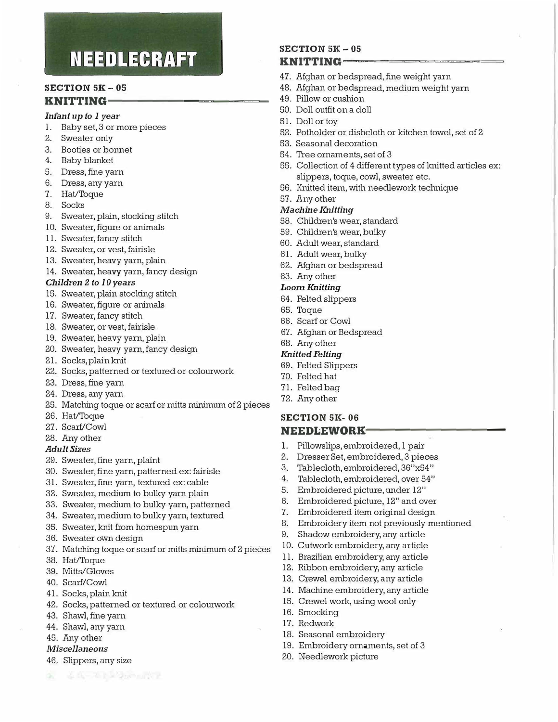## **NEEDLECRAFT**

#### **SECTION 5K - 05 KNITTING-**

## Infant up to 1 year

- 
- 1. Baby set, 3 or more pieces
- 2. Sweater only
- 3. Booties or bonnet
- 4. Baby blanket
- 5. Dress, fine yarn
- 6. Dress, any yarn
- 7. Hat/Toque
- 8. Socks
- 9. Sweater, plain, stocking stitch
- 10. Sweater, figure or animals
- 11. Sweater, fancy stitch
- 12. Sweater, or vest, fairisle
- 13. Sweater, heavy yarn, plain
- 14. Sweater, heavy yarn, fancy design

#### Children 2 to 10 years

- 15. Sweater, plain stocking stitch
- 16. Sweater, figure or animals
- 17. Sweater, fancy stitch
- 18. Sweater, or vest, fairisle
- 19. Sweater, heavy yarn, plain
- 20. Sweater, heavy yarn, fancy design
- 21. Socks, plain knit
- 22. Socks, patterned or textured or colourwork
- 23. Dress, fine yarn
- 24. Dress, any yarn
- 25. Matching toque or scarf or mitts minimum of 2 pieces
- 26. Hat/Toque
- 27. Scarf/Cowl
- 28. Any other

#### **Adult Sizes**

- 29. Sweater, fine yarn, plaint
- 30. Sweater, fine yarn, patterned ex: fairisle
- 31. Sweater, fine yarn, textured ex: cable
- 32. Sweater, medium to bulky yarn plain
- 33. Sweater, medium to bulky yarn, patterned
- 34. Sweater, medium to bulky yarn, textured
- 35. Sweater, knit from homespun yarn
- 36. Sweater own design
- 37. Matching toque or scarf or mitts minimum of 2 pieces
- 38. Hat/Toque
- 39. Mitts/Gloves
- 40. Scarf/Cowl
- 41. Socks, plain knit
- 42. Socks, patterned or textured or colourwork
- 43. Shawl, fine yarn
- 44. Shawl, any yarn
- 45. Any other
- **Miscellaneous**

#### 46. Slippers, any size

de la Company de la Cartera de la

#### **SECTION 5K - 05 KNITTING-**

- 47. Afghan or bedspread, fine weight yarn
- 48. Afghan or bedspread, medium weight yarn
- 49. Pillow or cushion
- 50. Doll outfit on a doll
- 51. Doll or toy
- 52. Potholder or dishcloth or kitchen towel, set of 2
- 53. Seasonal decoration
- 54. Tree ornaments, set of 3
- 55. Collection of 4 different types of knitted articles ex: slippers, toque, cowl, sweater etc.
- 56. Knitted item, with needlework technique
- 57. Any other

#### **Machine Knitting**

- 58. Children's wear, standard
- 59. Children's wear, bulky
- 60. Adult wear, standard
- 61. Adult wear, bulky
- 62. Afghan or bedspread
- 63. Any other

#### **Loom Knitting**

- 64. Felted slippers
- 65. Toque
- 66. Scarf or Cowl
- 67. Afghan or Bedspread

## 68. Any other

- **Knitted Felting**
- 69. Felted Slippers
- 70. Felted hat
- 71. Felted bag
- 72. Any other

#### **SECTION 5K-06**

#### **NEEDLEWORK-**

- 1. Pillowslips, embroidered, l pair
- 2. Dresser Set, embroidered, 3 pieces
- Tablecloth, embroidered, 36"x54" 3.
- Tablecloth, embroidered, over 54" 4.
- 5. Embroidered picture, under 12"
- Embroidered picture, 12" and over 6.
- Embroidered item original design 7.
- Embroidery item not previously mentioned 8.
- 9. Shadow embroidery, any article
- 10. Cutwork embroidery, any article
- 11. Brazilian embroidery, any article
- 12. Ribbon embroidery, any article
- 13. Crewel embroidery, any article
- 14. Machine embroidery, any article

15. Crewel work, using wool only

19. Embroidery ornaments, set of 3

18. Seasonal embroidery

20. Needlework picture

16. Smocking

17. Redwork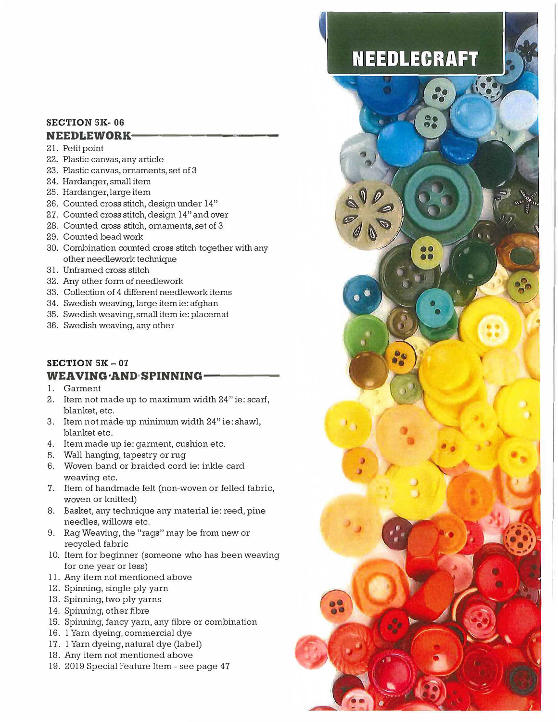#### **SECTION 51{- 06 NEEDLEWORK-**

### 21. Petit point

- 
- 22. Plastic canvas, any article
- 23. Plastic canvas, ornaments, set of 3
- 24. Hardanger, small item
- 25. Hardanger, large item
- 26. Counted cross stitch, design under 14"
- 27. Counted cross stitch, design 14" and over
- 28. Counted cross stitch, ornaments, set of 3
- 29. Counted bead work
- 30. Combination counted cross stitch together with any other needlework technique
- 31. Unframed cross stitch
- 32. Any other form of needlework
- 33. Collection of 4 different needlework items
- 34. Swedish weaving, large item ie: afghan
- 35. Swedish weaving, small item ie: placemat
- 36. Swedish weaving, any other

### **SECTION 5K** - **07 WEAVING·AND·SPINNING·**

- 1. Garment
- 2. Item not made up to maximum width 24" ie: scarf, blanket, etc.
- 3. Item not made up minimum width 24" ie: shawl, blanket etc.
- 4. Item made up ie: garment, cushion etc.
- 5. Wall hanging, tapestry or rug
- 6. Woven band or braided cord ie: inkle card weaving etc.
- 7. Item of handmade felt (non-woven or felled fabric, woven or knitted)
- 8. Basket, any technique any material ie: reed, pine needles, willows etc.
- 9. Rag Weaving, the "rags" may be from new or recycled fabric
- 10. Item for beginner (someone who has been weaving for one year or less)
- 11. Any item not mentioned above
- 12. Spinning, single ply yarn
- 13. Spinning, two ply yarns
- 14. Spinning, other fibre
- 15. Spinning, fancy yarn, any fibre or combination
- 16. 1 Yarn dyeing, commercial dye
- 17. 1 Yarn dyeing, natural dye (label)
- 18. Any item not mentioned above
- 19. 2019 Special Feature Item see page 47

## **NEEDLECRAFT**